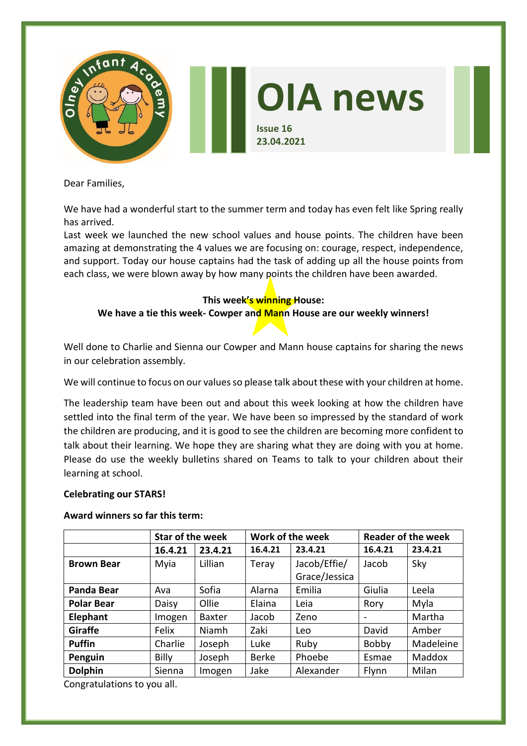

Dear Families,

We have had a wonderful start to the summer term and today has even felt like Spring really has arrived.

Last week we launched the new school values and house points. The children have been amazing at demonstrating the 4 values we are focusing on: courage, respect, independence, and support. Today our house captains had the task of adding up all the house points from each class, we were blown away by how many points the children have been awarded.

# **This week's winning House:**

# **We have a tie this week- Cowper and Mann House are our weekly winners!**

Well done to Charlie and Sienna our Cowper and Mann house captains for sharing the news in our celebration assembly.

We will continue to focus on our values so please talk about these with your children at home.

The leadership team have been out and about this week looking at how the children have settled into the final term of the year. We have been so impressed by the standard of work the children are producing, and it is good to see the children are becoming more confident to talk about their learning. We hope they are sharing what they are doing with you at home. Please do use the weekly bulletins shared on Teams to talk to your children about their learning at school.

## **Celebrating our STARS!**

## **Award winners so far this term:**

|                   | <b>Star of the week</b> |               | Work of the week |               | <b>Reader of the week</b>    |           |
|-------------------|-------------------------|---------------|------------------|---------------|------------------------------|-----------|
|                   | 16.4.21                 | 23.4.21       | 16.4.21          | 23.4.21       | 16.4.21                      | 23.4.21   |
| <b>Brown Bear</b> | Myia                    | Lillian       | Teray            | Jacob/Effie/  | Jacob                        | Sky       |
|                   |                         |               |                  | Grace/Jessica |                              |           |
| <b>Panda Bear</b> | Ava                     | Sofia         | Alarna           | Emilia        | Giulia                       | Leela     |
| <b>Polar Bear</b> | Daisy                   | Ollie         | Elaina           | Leia          | Rory                         | Myla      |
| Elephant          | Imogen                  | <b>Baxter</b> | Jacob            | Zeno          | $\qquad \qquad \blacksquare$ | Martha    |
| Giraffe           | Felix                   | Niamh         | Zaki             | Leo           | David                        | Amber     |
| <b>Puffin</b>     | Charlie                 | Joseph        | Luke             | Ruby          | Bobby                        | Madeleine |
| Penguin           | <b>Billy</b>            | Joseph        | <b>Berke</b>     | Phoebe        | Esmae                        | Maddox    |
| <b>Dolphin</b>    | Sienna                  | Imogen        | Jake             | Alexander     | Flynn                        | Milan     |

Congratulations to you all.